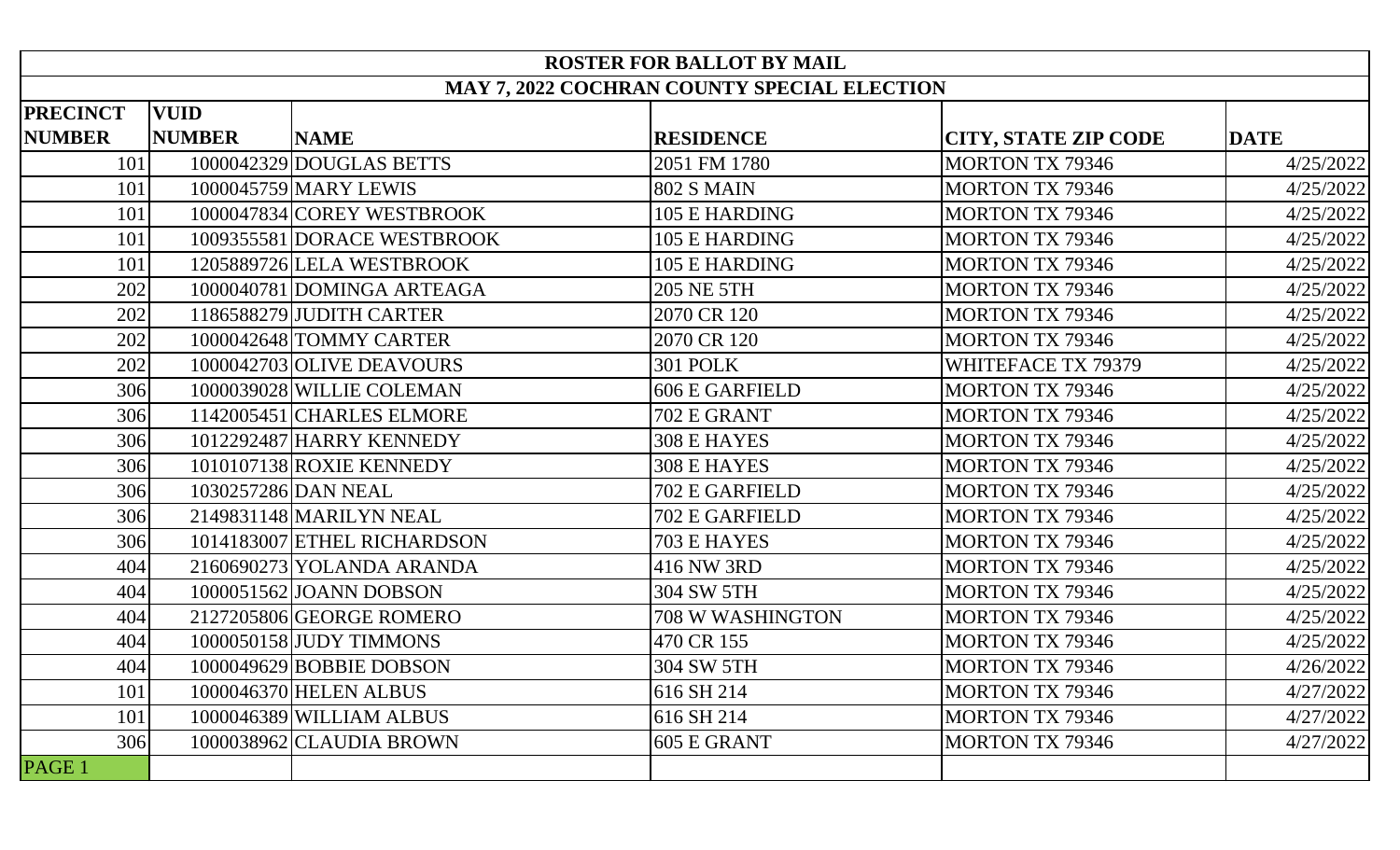| <b>ROSTER FOR BALLOT BY MAIL</b>            |               |                             |                       |                             |             |  |  |  |  |
|---------------------------------------------|---------------|-----------------------------|-----------------------|-----------------------------|-------------|--|--|--|--|
| MAY 7, 2022 COCHRAN COUNTY SPECIAL ELECTION |               |                             |                       |                             |             |  |  |  |  |
| <b>PRECINCT</b>                             | <b>VUID</b>   |                             |                       |                             |             |  |  |  |  |
| <b>NUMBER</b>                               | <b>NUMBER</b> | <b>NAME</b>                 | <b>RESIDENCE</b>      | <b>CITY, STATE ZIP CODE</b> | <b>DATE</b> |  |  |  |  |
| 101                                         |               | 1000042329 DOUGLAS BETTS    | 2051 FM 1780          | <b>MORTON TX 79346</b>      | 4/25/2022   |  |  |  |  |
| 101                                         |               | 1000045759 MARY LEWIS       | <b>802 S MAIN</b>     | <b>MORTON TX 79346</b>      | 4/25/2022   |  |  |  |  |
| 101                                         |               | 1000047834 COREY WESTBROOK  | 105 E HARDING         | <b>MORTON TX 79346</b>      | 4/25/2022   |  |  |  |  |
| 101                                         |               | 1009355581 DORACE WESTBROOK | 105 E HARDING         | <b>MORTON TX 79346</b>      | 4/25/2022   |  |  |  |  |
| 101                                         |               | 1205889726 LELA WESTBROOK   | 105 E HARDING         | <b>MORTON TX 79346</b>      | 4/25/2022   |  |  |  |  |
| 202                                         |               | 1000040781 DOMINGA ARTEAGA  | 205 NE 5TH            | <b>MORTON TX 79346</b>      | 4/25/2022   |  |  |  |  |
| 202                                         |               | 1186588279 JUDITH CARTER    | 2070 CR 120           | <b>MORTON TX 79346</b>      | 4/25/2022   |  |  |  |  |
| 202                                         |               | 1000042648 TOMMY CARTER     | 2070 CR 120           | <b>MORTON TX 79346</b>      | 4/25/2022   |  |  |  |  |
| 202                                         |               | 1000042703 OLIVE DEAVOURS   | <b>301 POLK</b>       | WHITEFACE TX 79379          | 4/25/2022   |  |  |  |  |
| 306                                         |               | 1000039028 WILLIE COLEMAN   | <b>606 E GARFIELD</b> | <b>MORTON TX 79346</b>      | 4/25/2022   |  |  |  |  |
| 306                                         |               | 1142005451 CHARLES ELMORE   | 702 E GRANT           | <b>MORTON TX 79346</b>      | 4/25/2022   |  |  |  |  |
| 306                                         |               | 1012292487 HARRY KENNEDY    | <b>308 E HAYES</b>    | <b>MORTON TX 79346</b>      | 4/25/2022   |  |  |  |  |
| 306                                         |               | 1010107138 ROXIE KENNEDY    | <b>308 E HAYES</b>    | <b>MORTON TX 79346</b>      | 4/25/2022   |  |  |  |  |
| 306                                         |               | 1030257286 DAN NEAL         | 702 E GARFIELD        | <b>MORTON TX 79346</b>      | 4/25/2022   |  |  |  |  |
| 306                                         |               | 2149831148 MARILYN NEAL     | 702 E GARFIELD        | <b>MORTON TX 79346</b>      | 4/25/2022   |  |  |  |  |
| 306                                         |               | 1014183007 ETHEL RICHARDSON | 703 E HAYES           | <b>MORTON TX 79346</b>      | 4/25/2022   |  |  |  |  |
| 404                                         |               | 2160690273 YOLANDA ARANDA   | 416 NW 3RD            | <b>MORTON TX 79346</b>      | 4/25/2022   |  |  |  |  |
| 404                                         |               | 1000051562 JOANN DOBSON     | 304 SW 5TH            | <b>MORTON TX 79346</b>      | 4/25/2022   |  |  |  |  |
| 404                                         |               | 2127205806 GEORGE ROMERO    | 708 W WASHINGTON      | <b>MORTON TX 79346</b>      | 4/25/2022   |  |  |  |  |
| 404                                         |               | 1000050158 JUDY TIMMONS     | 470 CR 155            | <b>MORTON TX 79346</b>      | 4/25/2022   |  |  |  |  |
| 404                                         |               | 1000049629 BOBBIE DOBSON    | 304 SW 5TH            | <b>MORTON TX 79346</b>      | 4/26/2022   |  |  |  |  |
| 101                                         |               | 1000046370 HELEN ALBUS      | 616 SH 214            | <b>MORTON TX 79346</b>      | 4/27/2022   |  |  |  |  |
| 101                                         |               | 1000046389 WILLIAM ALBUS    | 616 SH 214            | <b>MORTON TX 79346</b>      | 4/27/2022   |  |  |  |  |
| 306                                         |               | 1000038962 CLAUDIA BROWN    | 605 E GRANT           | <b>MORTON TX 79346</b>      | 4/27/2022   |  |  |  |  |
| PAGE 1                                      |               |                             |                       |                             |             |  |  |  |  |